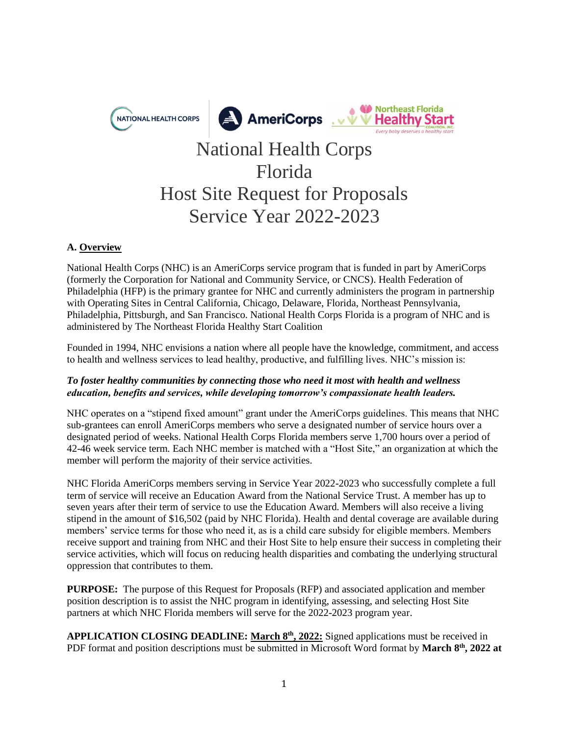

# National Health Corps Florida Host Site Request for Proposals Service Year 2022-2023

## **A. Overview**

National Health Corps (NHC) is an AmeriCorps service program that is funded in part by AmeriCorps (formerly the Corporation for National and Community Service, or CNCS). Health Federation of Philadelphia (HFP) is the primary grantee for NHC and currently administers the program in partnership with Operating Sites in Central California, Chicago, Delaware, Florida, Northeast Pennsylvania, Philadelphia, Pittsburgh, and San Francisco. National Health Corps Florida is a program of NHC and is administered by The Northeast Florida Healthy Start Coalition

Founded in 1994, NHC envisions a nation where all people have the knowledge, commitment, and access to health and wellness services to lead healthy, productive, and fulfilling lives. NHC's mission is:

## *To foster healthy communities by connecting those who need it most with health and wellness education, benefits and services, while developing tomorrow's compassionate health leaders.*

NHC operates on a "stipend fixed amount" grant under the AmeriCorps guidelines. This means that NHC sub-grantees can enroll AmeriCorps members who serve a designated number of service hours over a designated period of weeks. National Health Corps Florida members serve 1,700 hours over a period of 42-46 week service term. Each NHC member is matched with a "Host Site," an organization at which the member will perform the majority of their service activities.

NHC Florida AmeriCorps members serving in Service Year 2022-2023 who successfully complete a full term of service will receive an Education Award from the National Service Trust. A member has up to seven years after their term of service to use the Education Award. Members will also receive a living stipend in the amount of \$16,502 (paid by NHC Florida). Health and dental coverage are available during members' service terms for those who need it, as is a child care subsidy for eligible members. Members receive support and training from NHC and their Host Site to help ensure their success in completing their service activities, which will focus on reducing health disparities and combating the underlying structural oppression that contributes to them.

**PURPOSE:** The purpose of this Request for Proposals (RFP) and associated application and member position description is to assist the NHC program in identifying, assessing, and selecting Host Site partners at which NHC Florida members will serve for the 2022-2023 program year.

**APPLICATION CLOSING DEADLINE: March 8th, 2022:** Signed applications must be received in PDF format and position descriptions must be submitted in Microsoft Word format by March  $8<sup>th</sup>$ , 2022 at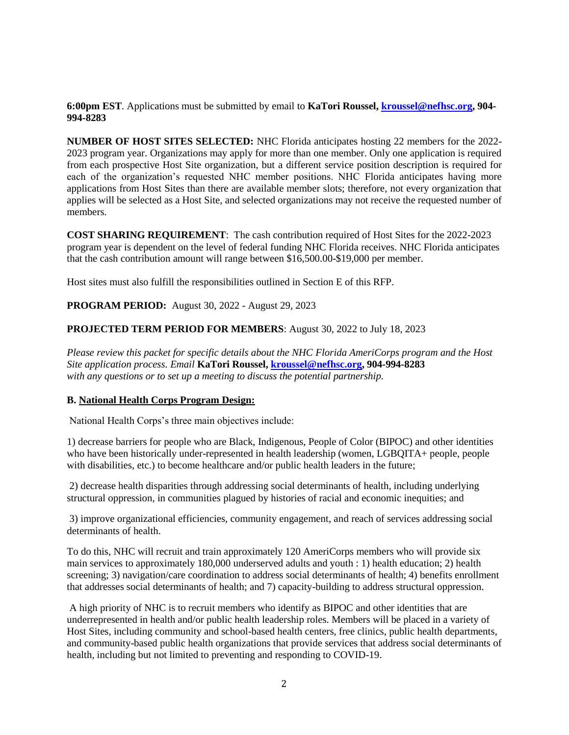**6:00pm EST**. Applications must be submitted by email to **KaTori Roussel, [kroussel@nefhsc.org,](mailto:kroussel@nefhsc.org) 904- 994-8283**

**NUMBER OF HOST SITES SELECTED:** NHC Florida anticipates hosting 22 members for the 2022- 2023 program year. Organizations may apply for more than one member. Only one application is required from each prospective Host Site organization, but a different service position description is required for each of the organization's requested NHC member positions. NHC Florida anticipates having more applications from Host Sites than there are available member slots; therefore, not every organization that applies will be selected as a Host Site, and selected organizations may not receive the requested number of members.

**COST SHARING REQUIREMENT**: The cash contribution required of Host Sites for the 2022-2023 program year is dependent on the level of federal funding NHC Florida receives. NHC Florida anticipates that the cash contribution amount will range between \$16,500.00-\$19,000 per member.

Host sites must also fulfill the responsibilities outlined in Section E of this RFP.

**PROGRAM PERIOD:** August 30, 2022 - August 29, 2023

## **PROJECTED TERM PERIOD FOR MEMBERS**: August 30, 2022 to July 18, 2023

*Please review this packet for specific details about the NHC Florida AmeriCorps program and the Host Site application process. Email* **KaTori Roussel, [kroussel@nefhsc.org,](mailto:kroussel@nefhsc.org) 904-994-8283** *with any questions or to set up a meeting to discuss the potential partnership.* 

### **B. National Health Corps Program Design:**

National Health Corps's three main objectives include:

1) decrease barriers for people who are Black, Indigenous, People of Color (BIPOC) and other identities who have been historically under-represented in health leadership (women, LGBQITA+ people, people with disabilities, etc.) to become healthcare and/or public health leaders in the future;

2) decrease health disparities through addressing social determinants of health, including underlying structural oppression, in communities plagued by histories of racial and economic inequities; and

3) improve organizational efficiencies, community engagement, and reach of services addressing social determinants of health

To do this, NHC will recruit and train approximately 120 AmeriCorps members who will provide six main services to approximately 180,000 underserved adults and youth : 1) health education; 2) health screening; 3) navigation/care coordination to address social determinants of health; 4) benefits enrollment that addresses social determinants of health; and 7) capacity-building to address structural oppression.

A high priority of NHC is to recruit members who identify as BIPOC and other identities that are underrepresented in health and/or public health leadership roles. Members will be placed in a variety of Host Sites, including community and school-based health centers, free clinics, public health departments, and community-based public health organizations that provide services that address social determinants of health, including but not limited to preventing and responding to COVID-19.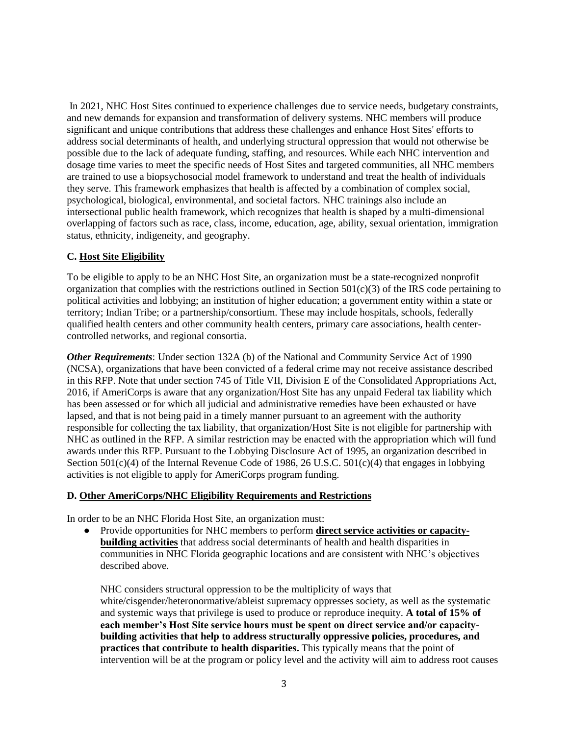In 2021, NHC Host Sites continued to experience challenges due to service needs, budgetary constraints, and new demands for expansion and transformation of delivery systems. NHC members will produce significant and unique contributions that address these challenges and enhance Host Sites' efforts to address social determinants of health, and underlying structural oppression that would not otherwise be possible due to the lack of adequate funding, staffing, and resources. While each NHC intervention and dosage time varies to meet the specific needs of Host Sites and targeted communities, all NHC members are trained to use a biopsychosocial model framework to understand and treat the health of individuals they serve. This framework emphasizes that health is affected by a combination of complex social, psychological, biological, environmental, and societal factors. NHC trainings also include an intersectional public health framework, which recognizes that health is shaped by a multi-dimensional overlapping of factors such as race, class, income, education, age, ability, sexual orientation, immigration status, ethnicity, indigeneity, and geography.

### **C. Host Site Eligibility**

To be eligible to apply to be an NHC Host Site, an organization must be a state-recognized nonprofit organization that complies with the restrictions outlined in Section  $501(c)(3)$  of the IRS code pertaining to political activities and lobbying; an institution of higher education; a government entity within a state or territory; Indian Tribe; or a partnership/consortium. These may include hospitals, schools, federally qualified health centers and other community health centers, primary care associations, health centercontrolled networks, and regional consortia.

*Other Requirements*: Under section 132A (b) of the National and Community Service Act of 1990 (NCSA), organizations that have been convicted of a federal crime may not receive assistance described in this RFP. Note that under section 745 of Title VII, Division E of the Consolidated Appropriations Act, 2016, if AmeriCorps is aware that any organization/Host Site has any unpaid Federal tax liability which has been assessed or for which all judicial and administrative remedies have been exhausted or have lapsed, and that is not being paid in a timely manner pursuant to an agreement with the authority responsible for collecting the tax liability, that organization/Host Site is not eligible for partnership with NHC as outlined in the RFP. A similar restriction may be enacted with the appropriation which will fund awards under this RFP. Pursuant to the Lobbying Disclosure Act of 1995, an organization described in Section  $501(c)(4)$  of the Internal Revenue Code of 1986, 26 U.S.C.  $501(c)(4)$  that engages in lobbying activities is not eligible to apply for AmeriCorps program funding.

#### **D. Other AmeriCorps/NHC Eligibility Requirements and Restrictions**

In order to be an NHC Florida Host Site, an organization must:

● Provide opportunities for NHC members to perform **direct service activities or capacitybuilding activities** that address social determinants of health and health disparities in communities in NHC Florida geographic locations and are consistent with NHC's objectives described above.

NHC considers structural oppression to be the multiplicity of ways that white/cisgender/heteronormative/ableist supremacy oppresses society, as well as the systematic and systemic ways that privilege is used to produce or reproduce inequity. **A total of 15% of each member's Host Site service hours must be spent on direct service and/or capacitybuilding activities that help to address structurally oppressive policies, procedures, and practices that contribute to health disparities.** This typically means that the point of intervention will be at the program or policy level and the activity will aim to address root causes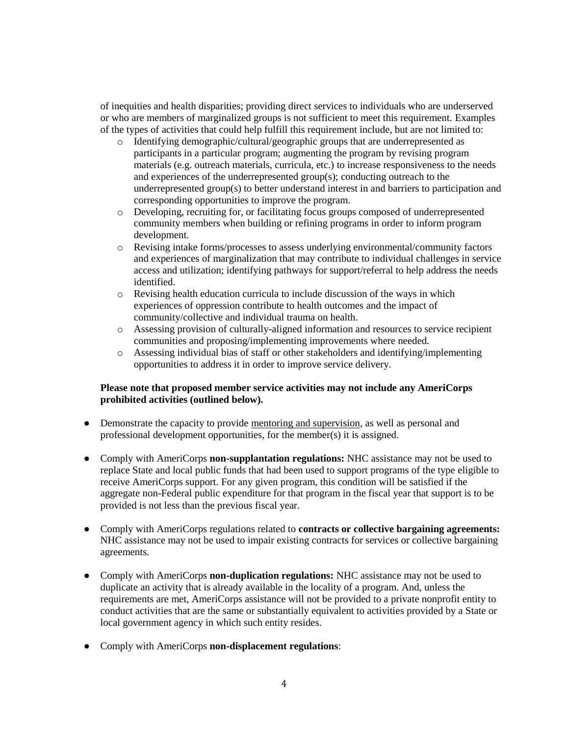of inequities and health disparities; providing direct services to individuals who are underserved or who are members of marginalized groups is not sufficient to meet this requirement. Examples of the types of activities that could help fulfill this requirement include, but are not limited to:

- o Identifying demographic/cultural/geographic groups that are underrepresented as participants in a particular program; augmenting the program by revising program materials (e.g. outreach materials, curricula, etc.) to increase responsiveness to the needs and experiences of the underrepresented group(s); conducting outreach to the underrepresented group(s) to better understand interest in and barriers to participation and corresponding opportunities to improve the program.
- o Developing, recruiting for, or facilitating focus groups composed of underrepresented community members when building or refining programs in order to inform program development.
- o Revising intake forms/processes to assess underlying environmental/community factors and experiences of marginalization that may contribute to individual challenges in service access and utilization; identifying pathways for support/referral to help address the needs identified.
- $\circ$  Revising health education curricula to include discussion of the ways in which experiences of oppression contribute to health outcomes and the impact of community/collective and individual trauma on health.
- o Assessing provision of culturally-aligned information and resources to service recipient communities and proposing/implementing improvements where needed.
- o Assessing individual bias of staff or other stakeholders and identifying/implementing opportunities to address it in order to improve service delivery.

## **Please note that proposed member service activities may not include any AmeriCorps prohibited activities (outlined below).**

- Demonstrate the capacity to provide mentoring and supervision, as well as personal and professional development opportunities, for the member(s) it is assigned.
- Comply with AmeriCorps **non-supplantation regulations:** NHC assistance may not be used to replace State and local public funds that had been used to support programs of the type eligible to receive AmeriCorps support. For any given program, this condition will be satisfied if the aggregate non-Federal public expenditure for that program in the fiscal year that support is to be provided is not less than the previous fiscal year.
- Comply with AmeriCorps regulations related to **contracts or collective bargaining agreements:**  NHC assistance may not be used to impair existing contracts for services or collective bargaining agreements.
- Comply with AmeriCorps **non-duplication regulations:** NHC assistance may not be used to duplicate an activity that is already available in the locality of a program. And, unless the requirements are met, AmeriCorps assistance will not be provided to a private nonprofit entity to conduct activities that are the same or substantially equivalent to activities provided by a State or local government agency in which such entity resides.
- Comply with AmeriCorps **non-displacement regulations**: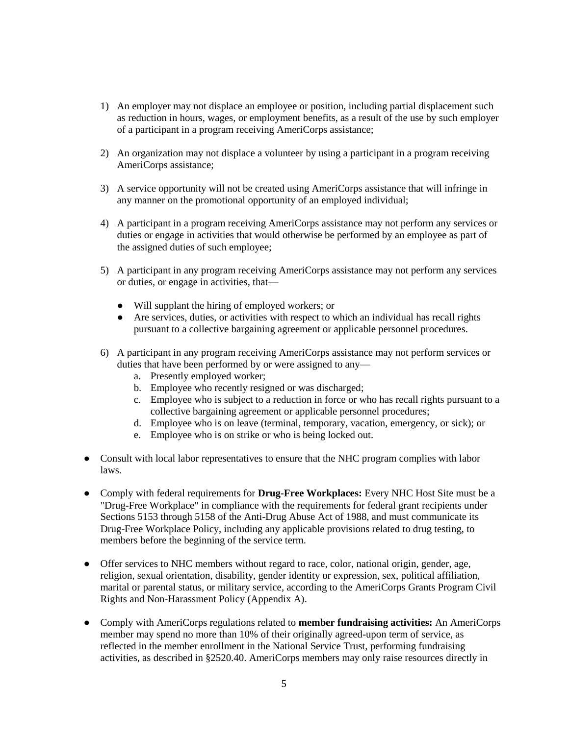- 1) An employer may not displace an employee or position, including partial displacement such as reduction in hours, wages, or employment benefits, as a result of the use by such employer of a participant in a program receiving AmeriCorps assistance;
- 2) An organization may not displace a volunteer by using a participant in a program receiving AmeriCorps assistance;
- 3) A service opportunity will not be created using AmeriCorps assistance that will infringe in any manner on the promotional opportunity of an employed individual;
- 4) A participant in a program receiving AmeriCorps assistance may not perform any services or duties or engage in activities that would otherwise be performed by an employee as part of the assigned duties of such employee;
- 5) A participant in any program receiving AmeriCorps assistance may not perform any services or duties, or engage in activities, that—
	- Will supplant the hiring of employed workers; or
	- Are services, duties, or activities with respect to which an individual has recall rights pursuant to a collective bargaining agreement or applicable personnel procedures.
- 6) A participant in any program receiving AmeriCorps assistance may not perform services or duties that have been performed by or were assigned to any
	- a. Presently employed worker;
	- b. Employee who recently resigned or was discharged;
	- c. Employee who is subject to a reduction in force or who has recall rights pursuant to a collective bargaining agreement or applicable personnel procedures;
	- d. Employee who is on leave (terminal, temporary, vacation, emergency, or sick); or
	- e. Employee who is on strike or who is being locked out.
- Consult with local labor representatives to ensure that the NHC program complies with labor laws.
- Comply with federal requirements for **Drug-Free Workplaces:** Every NHC Host Site must be a "Drug-Free Workplace" in compliance with the requirements for federal grant recipients under Sections 5153 through 5158 of the Anti-Drug Abuse Act of 1988, and must communicate its Drug-Free Workplace Policy, including any applicable provisions related to drug testing, to members before the beginning of the service term.
- Offer services to NHC members without regard to race, color, national origin, gender, age, religion, sexual orientation, disability, gender identity or expression, sex, political affiliation, marital or parental status, or military service, according to the AmeriCorps Grants Program Civil Rights and Non-Harassment Policy (Appendix A).
- Comply with AmeriCorps regulations related to **member fundraising activities:** An AmeriCorps member may spend no more than 10% of their originally agreed-upon term of service, as reflected in the member enrollment in the National Service Trust, performing fundraising activities, as described in §2520.40. AmeriCorps members may only raise resources directly in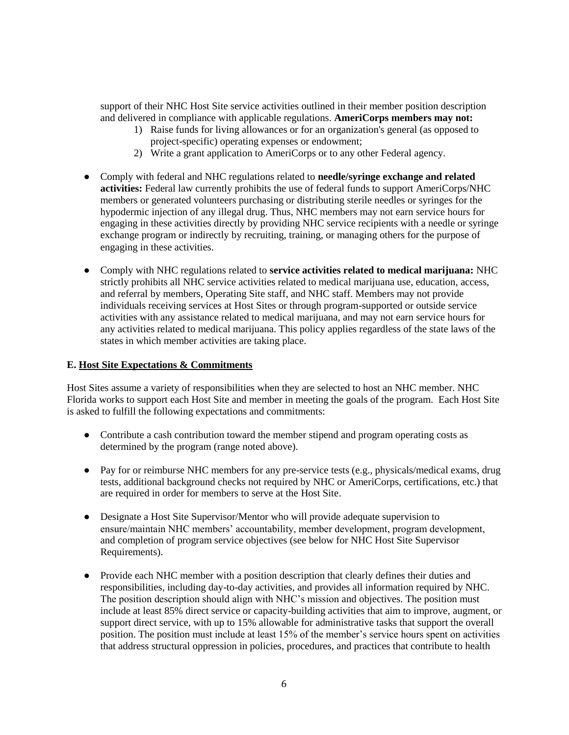support of their NHC Host Site service activities outlined in their member position description and delivered in compliance with applicable regulations. **AmeriCorps members may not:**

- 1) Raise funds for living allowances or for an organization's general (as opposed to project-specific) operating expenses or endowment;
- 2) Write a grant application to AmeriCorps or to any other Federal agency.
- Comply with federal and NHC regulations related to **needle/syringe exchange and related activities:** Federal law currently prohibits the use of federal funds to support AmeriCorps/NHC members or generated volunteers purchasing or distributing sterile needles or syringes for the hypodermic injection of any illegal drug. Thus, NHC members may not earn service hours for engaging in these activities directly by providing NHC service recipients with a needle or syringe exchange program or indirectly by recruiting, training, or managing others for the purpose of engaging in these activities.
- Comply with NHC regulations related to **service activities related to medical marijuana:** NHC strictly prohibits all NHC service activities related to medical marijuana use, education, access, and referral by members, Operating Site staff, and NHC staff. Members may not provide individuals receiving services at Host Sites or through program-supported or outside service activities with any assistance related to medical marijuana, and may not earn service hours for any activities related to medical marijuana. This policy applies regardless of the state laws of the states in which member activities are taking place.

## **E. Host Site Expectations & Commitments**

Host Sites assume a variety of responsibilities when they are selected to host an NHC member. NHC Florida works to support each Host Site and member in meeting the goals of the program. Each Host Site is asked to fulfill the following expectations and commitments:

- Contribute a cash contribution toward the member stipend and program operating costs as determined by the program (range noted above).
- Pay for or reimburse NHC members for any pre-service tests (e.g., physicals/medical exams, drug tests, additional background checks not required by NHC or AmeriCorps, certifications, etc.) that are required in order for members to serve at the Host Site.
- Designate a Host Site Supervisor/Mentor who will provide adequate supervision to ensure/maintain NHC members' accountability, member development, program development, and completion of program service objectives (see below for NHC Host Site Supervisor Requirements).
- Provide each NHC member with a position description that clearly defines their duties and responsibilities, including day-to-day activities, and provides all information required by NHC. The position description should align with NHC's mission and objectives. The position must include at least 85% direct service or capacity-building activities that aim to improve, augment, or support direct service, with up to 15% allowable for administrative tasks that support the overall position. The position must include at least 15% of the member's service hours spent on activities that address structural oppression in policies, procedures, and practices that contribute to health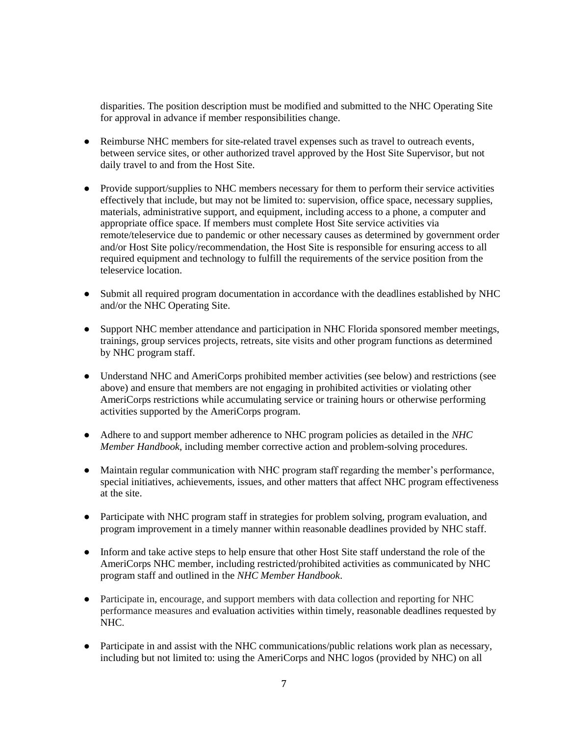disparities. The position description must be modified and submitted to the NHC Operating Site for approval in advance if member responsibilities change.

- Reimburse NHC members for site-related travel expenses such as travel to outreach events, between service sites, or other authorized travel approved by the Host Site Supervisor, but not daily travel to and from the Host Site.
- Provide support/supplies to NHC members necessary for them to perform their service activities effectively that include, but may not be limited to: supervision, office space, necessary supplies, materials, administrative support, and equipment, including access to a phone, a computer and appropriate office space. If members must complete Host Site service activities via remote/teleservice due to pandemic or other necessary causes as determined by government order and/or Host Site policy/recommendation, the Host Site is responsible for ensuring access to all required equipment and technology to fulfill the requirements of the service position from the teleservice location.
- Submit all required program documentation in accordance with the deadlines established by NHC and/or the NHC Operating Site.
- Support NHC member attendance and participation in NHC Florida sponsored member meetings, trainings, group services projects, retreats, site visits and other program functions as determined by NHC program staff.
- Understand NHC and AmeriCorps prohibited member activities (see below) and restrictions (see above) and ensure that members are not engaging in prohibited activities or violating other AmeriCorps restrictions while accumulating service or training hours or otherwise performing activities supported by the AmeriCorps program.
- Adhere to and support member adherence to NHC program policies as detailed in the *NHC Member Handbook*, including member corrective action and problem-solving procedures.
- Maintain regular communication with NHC program staff regarding the member's performance, special initiatives, achievements, issues, and other matters that affect NHC program effectiveness at the site.
- Participate with NHC program staff in strategies for problem solving, program evaluation, and program improvement in a timely manner within reasonable deadlines provided by NHC staff.
- Inform and take active steps to help ensure that other Host Site staff understand the role of the AmeriCorps NHC member, including restricted/prohibited activities as communicated by NHC program staff and outlined in the *NHC Member Handbook*.
- Participate in, encourage, and support members with data collection and reporting for NHC performance measures and evaluation activities within timely, reasonable deadlines requested by NHC.
- Participate in and assist with the NHC communications/public relations work plan as necessary, including but not limited to: using the AmeriCorps and NHC logos (provided by NHC) on all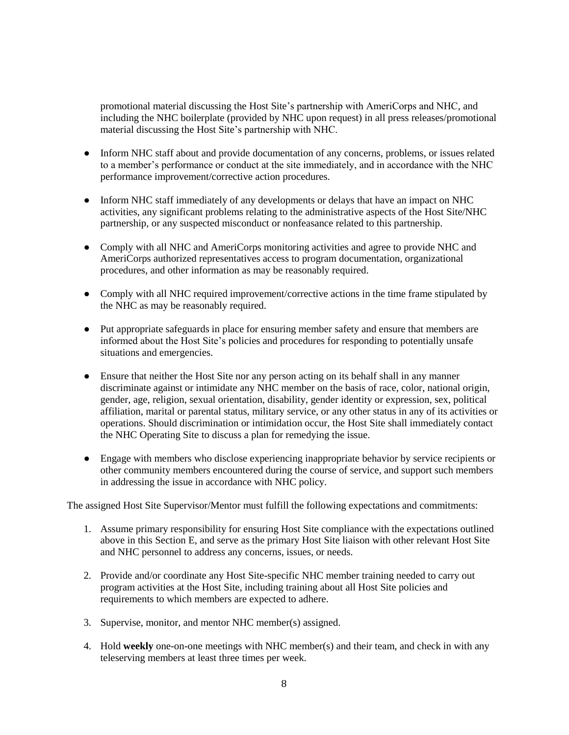promotional material discussing the Host Site's partnership with AmeriCorps and NHC, and including the NHC boilerplate (provided by NHC upon request) in all press releases/promotional material discussing the Host Site's partnership with NHC.

- Inform NHC staff about and provide documentation of any concerns, problems, or issues related to a member's performance or conduct at the site immediately, and in accordance with the NHC performance improvement/corrective action procedures.
- Inform NHC staff immediately of any developments or delays that have an impact on NHC activities, any significant problems relating to the administrative aspects of the Host Site/NHC partnership, or any suspected misconduct or nonfeasance related to this partnership.
- Comply with all NHC and AmeriCorps monitoring activities and agree to provide NHC and AmeriCorps authorized representatives access to program documentation, organizational procedures, and other information as may be reasonably required.
- Comply with all NHC required improvement/corrective actions in the time frame stipulated by the NHC as may be reasonably required.
- Put appropriate safeguards in place for ensuring member safety and ensure that members are informed about the Host Site's policies and procedures for responding to potentially unsafe situations and emergencies.
- Ensure that neither the Host Site nor any person acting on its behalf shall in any manner discriminate against or intimidate any NHC member on the basis of race, color, national origin, gender, age, religion, sexual orientation, disability, gender identity or expression, sex, political affiliation, marital or parental status, military service, or any other status in any of its activities or operations. Should discrimination or intimidation occur, the Host Site shall immediately contact the NHC Operating Site to discuss a plan for remedying the issue.
- Engage with members who disclose experiencing inappropriate behavior by service recipients or other community members encountered during the course of service, and support such members in addressing the issue in accordance with NHC policy.

The assigned Host Site Supervisor/Mentor must fulfill the following expectations and commitments:

- 1. Assume primary responsibility for ensuring Host Site compliance with the expectations outlined above in this Section E, and serve as the primary Host Site liaison with other relevant Host Site and NHC personnel to address any concerns, issues, or needs.
- 2. Provide and/or coordinate any Host Site-specific NHC member training needed to carry out program activities at the Host Site, including training about all Host Site policies and requirements to which members are expected to adhere.
- 3. Supervise, monitor, and mentor NHC member(s) assigned.
- 4. Hold **weekly** one-on-one meetings with NHC member(s) and their team, and check in with any teleserving members at least three times per week.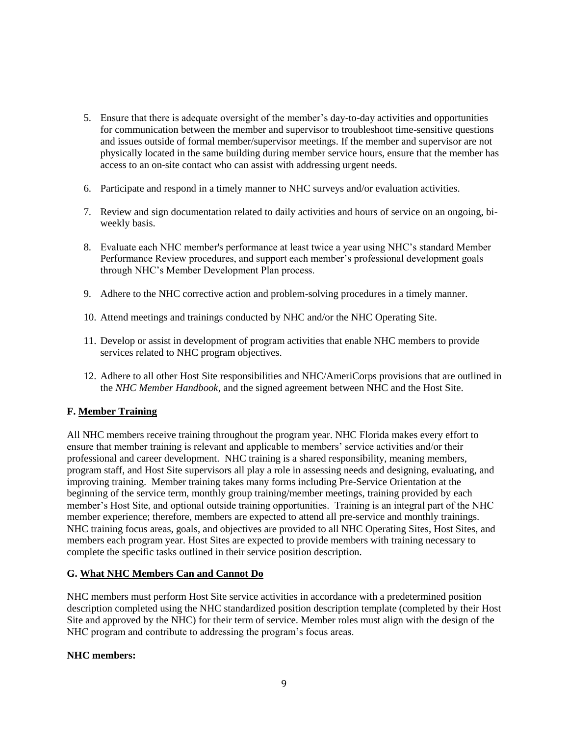- 5. Ensure that there is adequate oversight of the member's day-to-day activities and opportunities for communication between the member and supervisor to troubleshoot time-sensitive questions and issues outside of formal member/supervisor meetings. If the member and supervisor are not physically located in the same building during member service hours, ensure that the member has access to an on-site contact who can assist with addressing urgent needs.
- 6. Participate and respond in a timely manner to NHC surveys and/or evaluation activities.
- 7. Review and sign documentation related to daily activities and hours of service on an ongoing, biweekly basis.
- 8. Evaluate each NHC member's performance at least twice a year using NHC's standard Member Performance Review procedures, and support each member's professional development goals through NHC's Member Development Plan process.
- 9. Adhere to the NHC corrective action and problem-solving procedures in a timely manner.
- 10. Attend meetings and trainings conducted by NHC and/or the NHC Operating Site.
- 11. Develop or assist in development of program activities that enable NHC members to provide services related to NHC program objectives.
- 12. Adhere to all other Host Site responsibilities and NHC/AmeriCorps provisions that are outlined in the *NHC Member Handbook*, and the signed agreement between NHC and the Host Site.

## **F. Member Training**

All NHC members receive training throughout the program year. NHC Florida makes every effort to ensure that member training is relevant and applicable to members' service activities and/or their professional and career development. NHC training is a shared responsibility, meaning members, program staff, and Host Site supervisors all play a role in assessing needs and designing, evaluating, and improving training. Member training takes many forms including Pre-Service Orientation at the beginning of the service term, monthly group training/member meetings, training provided by each member's Host Site, and optional outside training opportunities. Training is an integral part of the NHC member experience; therefore, members are expected to attend all pre-service and monthly trainings. NHC training focus areas, goals, and objectives are provided to all NHC Operating Sites, Host Sites, and members each program year. Host Sites are expected to provide members with training necessary to complete the specific tasks outlined in their service position description.

### **G. What NHC Members Can and Cannot Do**

NHC members must perform Host Site service activities in accordance with a predetermined position description completed using the NHC standardized position description template (completed by their Host Site and approved by the NHC) for their term of service. Member roles must align with the design of the NHC program and contribute to addressing the program's focus areas.

### **NHC members:**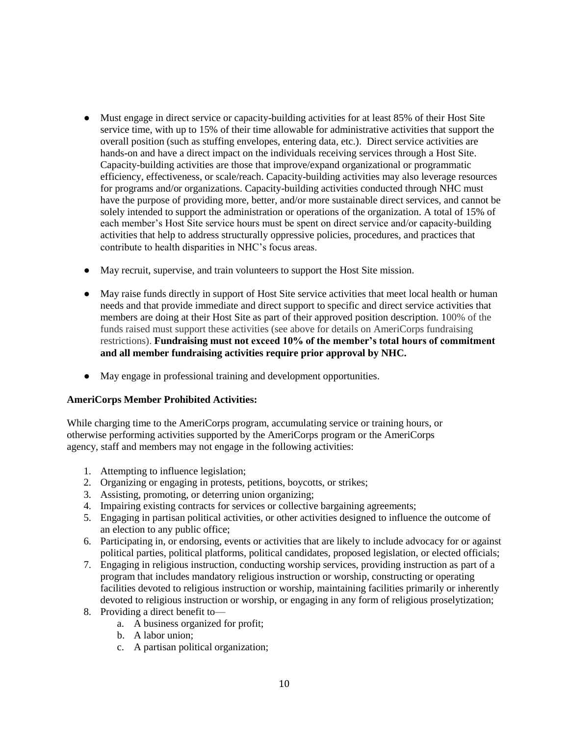- Must engage in direct service or capacity-building activities for at least 85% of their Host Site service time, with up to 15% of their time allowable for administrative activities that support the overall position (such as stuffing envelopes, entering data, etc.). Direct service activities are hands-on and have a direct impact on the individuals receiving services through a Host Site. Capacity-building activities are those that improve/expand organizational or programmatic efficiency, effectiveness, or scale/reach. Capacity-building activities may also leverage resources for programs and/or organizations. Capacity-building activities conducted through NHC must have the purpose of providing more, better, and/or more sustainable direct services, and cannot be solely intended to support the administration or operations of the organization. A total of 15% of each member's Host Site service hours must be spent on direct service and/or capacity-building activities that help to address structurally oppressive policies, procedures, and practices that contribute to health disparities in NHC's focus areas.
- May recruit, supervise, and train volunteers to support the Host Site mission.
- May raise funds directly in support of Host Site service activities that meet local health or human needs and that provide immediate and direct support to specific and direct service activities that members are doing at their Host Site as part of their approved position description. 100% of the funds raised must support these activities (see above for details on AmeriCorps fundraising restrictions). **Fundraising must not exceed 10% of the member's total hours of commitment and all member fundraising activities require prior approval by NHC.**
- May engage in professional training and development opportunities.

### **AmeriCorps Member Prohibited Activities:**

While charging time to the AmeriCorps program, accumulating service or training hours, or otherwise performing activities supported by the AmeriCorps program or the AmeriCorps agency, staff and members may not engage in the following activities:

- 1. Attempting to influence legislation;
- 2. Organizing or engaging in protests, petitions, boycotts, or strikes;
- 3. Assisting, promoting, or deterring union organizing;
- 4. Impairing existing contracts for services or collective bargaining agreements;
- 5. Engaging in partisan political activities, or other activities designed to influence the outcome of an election to any public office;
- 6. Participating in, or endorsing, events or activities that are likely to include advocacy for or against political parties, political platforms, political candidates, proposed legislation, or elected officials;
- 7. Engaging in religious instruction, conducting worship services, providing instruction as part of a program that includes mandatory religious instruction or worship, constructing or operating facilities devoted to religious instruction or worship, maintaining facilities primarily or inherently devoted to religious instruction or worship, or engaging in any form of religious proselytization;
- 8. Providing a direct benefit to
	- a. A business organized for profit;
	- b. A labor union;
	- c. A partisan political organization;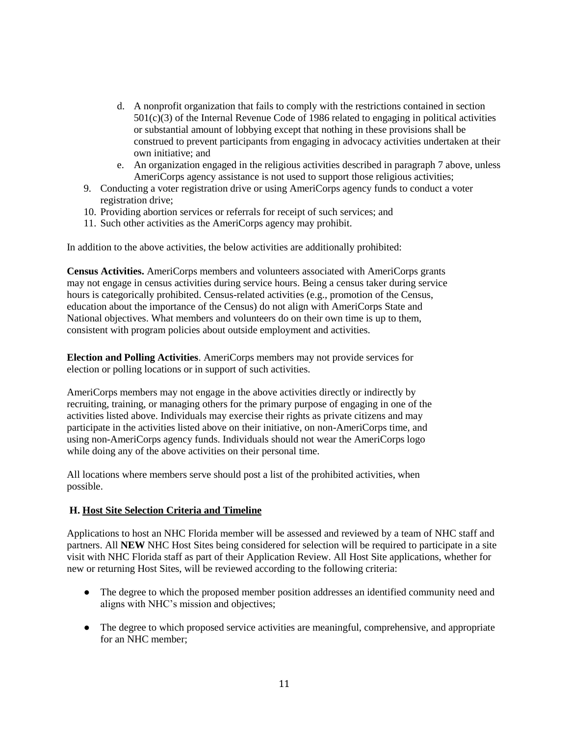- d. A nonprofit organization that fails to comply with the restrictions contained in section  $501(c)(3)$  of the Internal Revenue Code of 1986 related to engaging in political activities or substantial amount of lobbying except that nothing in these provisions shall be construed to prevent participants from engaging in advocacy activities undertaken at their own initiative; and
- e. An organization engaged in the religious activities described in paragraph 7 above, unless AmeriCorps agency assistance is not used to support those religious activities;
- 9. Conducting a voter registration drive or using AmeriCorps agency funds to conduct a voter registration drive;
- 10. Providing abortion services or referrals for receipt of such services; and
- 11. Such other activities as the AmeriCorps agency may prohibit.

In addition to the above activities, the below activities are additionally prohibited:

**Census Activities.** AmeriCorps members and volunteers associated with AmeriCorps grants may not engage in census activities during service hours. Being a census taker during service hours is categorically prohibited. Census-related activities (e.g., promotion of the Census, education about the importance of the Census) do not align with AmeriCorps State and National objectives. What members and volunteers do on their own time is up to them, consistent with program policies about outside employment and activities.

**Election and Polling Activities**. AmeriCorps members may not provide services for election or polling locations or in support of such activities.

AmeriCorps members may not engage in the above activities directly or indirectly by recruiting, training, or managing others for the primary purpose of engaging in one of the activities listed above. Individuals may exercise their rights as private citizens and may participate in the activities listed above on their initiative, on non-AmeriCorps time, and using non-AmeriCorps agency funds. Individuals should not wear the AmeriCorps logo while doing any of the above activities on their personal time.

All locations where members serve should post a list of the prohibited activities, when possible.

## **H. Host Site Selection Criteria and Timeline**

Applications to host an NHC Florida member will be assessed and reviewed by a team of NHC staff and partners. All **NEW** NHC Host Sites being considered for selection will be required to participate in a site visit with NHC Florida staff as part of their Application Review. All Host Site applications, whether for new or returning Host Sites, will be reviewed according to the following criteria:

- The degree to which the proposed member position addresses an identified community need and aligns with NHC's mission and objectives;
- The degree to which proposed service activities are meaningful, comprehensive, and appropriate for an NHC member;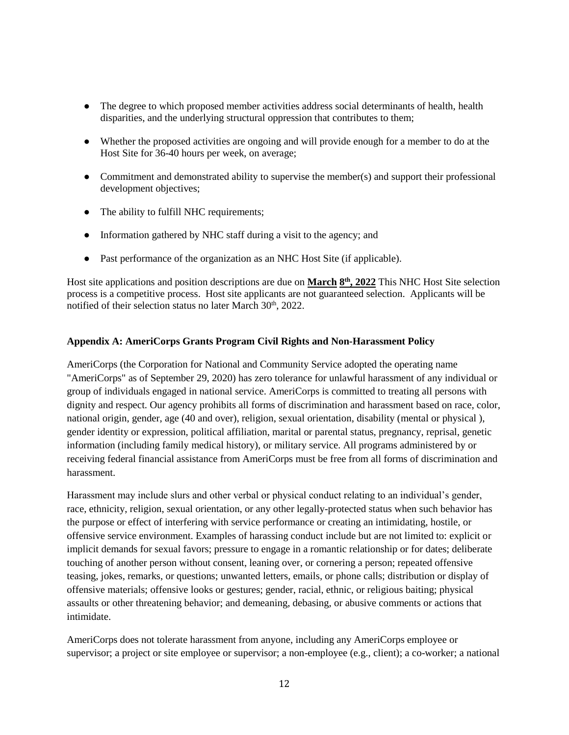- The degree to which proposed member activities address social determinants of health, health disparities, and the underlying structural oppression that contributes to them;
- Whether the proposed activities are ongoing and will provide enough for a member to do at the Host Site for 36-40 hours per week, on average;
- Commitment and demonstrated ability to supervise the member(s) and support their professional development objectives;
- The ability to fulfill NHC requirements;
- Information gathered by NHC staff during a visit to the agency; and
- Past performance of the organization as an NHC Host Site (if applicable).

Host site applications and position descriptions are due on **March 8 th, 2022** This NHC Host Site selection process is a competitive process. Host site applicants are not guaranteed selection. Applicants will be notified of their selection status no later March 30<sup>th</sup>, 2022.

### **Appendix A: AmeriCorps Grants Program Civil Rights and Non-Harassment Policy**

AmeriCorps (the Corporation for National and Community Service adopted the operating name "AmeriCorps" as of September 29, 2020) has zero tolerance for unlawful harassment of any individual or group of individuals engaged in national service. AmeriCorps is committed to treating all persons with dignity and respect. Our agency prohibits all forms of discrimination and harassment based on race, color, national origin, gender, age (40 and over), religion, sexual orientation, disability (mental or physical ), gender identity or expression, political affiliation, marital or parental status, pregnancy, reprisal, genetic information (including family medical history), or military service. All programs administered by or receiving federal financial assistance from AmeriCorps must be free from all forms of discrimination and harassment.

Harassment may include slurs and other verbal or physical conduct relating to an individual's gender, race, ethnicity, religion, sexual orientation, or any other legally-protected status when such behavior has the purpose or effect of interfering with service performance or creating an intimidating, hostile, or offensive service environment. Examples of harassing conduct include but are not limited to: explicit or implicit demands for sexual favors; pressure to engage in a romantic relationship or for dates; deliberate touching of another person without consent, leaning over, or cornering a person; repeated offensive teasing, jokes, remarks, or questions; unwanted letters, emails, or phone calls; distribution or display of offensive materials; offensive looks or gestures; gender, racial, ethnic, or religious baiting; physical assaults or other threatening behavior; and demeaning, debasing, or abusive comments or actions that intimidate.

AmeriCorps does not tolerate harassment from anyone, including any AmeriCorps employee or supervisor; a project or site employee or supervisor; a non-employee (e.g., client); a co-worker; a national